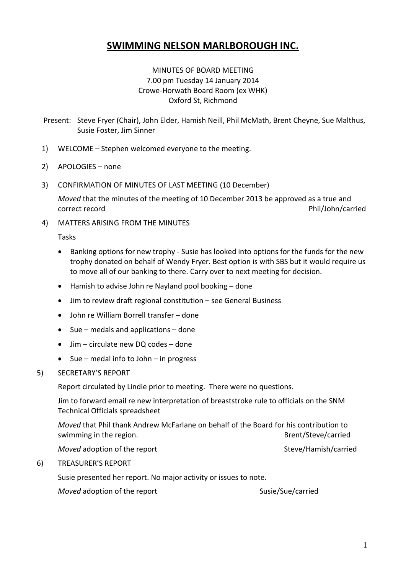# **SWIMMING NELSON MARLBOROUGH INC.**

# MINUTES OF BOARD MEETING 7.00 pm Tuesday 14 January 2014 Crowe-Horwath Board Room (ex WHK) Oxford St, Richmond

- Present: Steve Fryer (Chair), John Elder, Hamish Neill, Phil McMath, Brent Cheyne, Sue Malthus, Susie Foster, Jim Sinner
- 1) WELCOME Stephen welcomed everyone to the meeting.
- 2) APOLOGIES none
- 3) CONFIRMATION OF MINUTES OF LAST MEETING (10 December)

*Moved* that the minutes of the meeting of 10 December 2013 be approved as a true and correct record example and the correct record phil/John/carried

4) MATTERS ARISING FROM THE MINUTES

Tasks

- Banking options for new trophy Susie has looked into options for the funds for the new trophy donated on behalf of Wendy Fryer. Best option is with SBS but it would require us to move all of our banking to there. Carry over to next meeting for decision.
- Hamish to advise John re Nayland pool booking done
- Jim to review draft regional constitution see General Business
- John re William Borrell transfer done
- $\bullet$  Sue medals and applications done
- Jim circulate new DQ codes done
- $\bullet$  Sue medal info to John in progress
- 5) SECRETARY'S REPORT

Report circulated by Lindie prior to meeting. There were no questions.

Jim to forward email re new interpretation of breaststroke rule to officials on the SNM Technical Officials spreadsheet

*Moved* that Phil thank Andrew McFarlane on behalf of the Board for his contribution to swimming in the region. The state of the region of the region of the state of the state of the state of the state of the state of the state of the state of the state of the state of the state of the state of the state of t

*Moved* adoption of the report Steve/Hamish/carried

#### 6) TREASURER'S REPORT

Susie presented her report. No major activity or issues to note.

*Moved* adoption of the report Susie/Sue/carried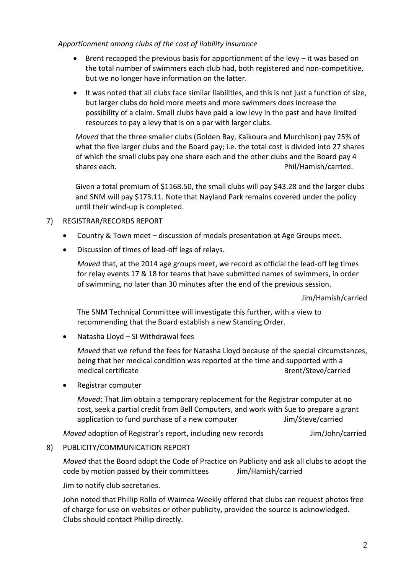#### *Apportionment among clubs of the cost of liability insurance*

- **•** Brent recapped the previous basis for apportionment of the levy  $-$  it was based on the total number of swimmers each club had, both registered and non-competitive, but we no longer have information on the latter.
- It was noted that all clubs face similar liabilities, and this is not just a function of size, but larger clubs do hold more meets and more swimmers does increase the possibility of a claim. Small clubs have paid a low levy in the past and have limited resources to pay a levy that is on a par with larger clubs.

*Moved* that the three smaller clubs (Golden Bay, Kaikoura and Murchison) pay 25% of what the five larger clubs and the Board pay; i.e. the total cost is divided into 27 shares of which the small clubs pay one share each and the other clubs and the Board pay 4 shares each. **Phil/Hamish/carried.** Phil/Hamish/carried.

Given a total premium of \$1168.50, the small clubs will pay \$43.28 and the larger clubs and SNM will pay \$173.11. Note that Nayland Park remains covered under the policy until their wind-up is completed.

# 7) REGISTRAR/RECORDS REPORT

- Country & Town meet discussion of medals presentation at Age Groups meet.
- Discussion of times of lead-off legs of relays.

*Moved* that, at the 2014 age groups meet, we record as official the lead-off leg times for relay events 17 & 18 for teams that have submitted names of swimmers, in order of swimming, no later than 30 minutes after the end of the previous session.

Jim/Hamish/carried

The SNM Technical Committee will investigate this further, with a view to recommending that the Board establish a new Standing Order.

Natasha Lloyd – SI Withdrawal fees

*Moved* that we refund the fees for Natasha Lloyd because of the special circumstances, being that her medical condition was reported at the time and supported with a medical certificate and the Brent/Steve/carried

Registrar computer

*Moved*: That Jim obtain a temporary replacement for the Registrar computer at no cost, seek a partial credit from Bell Computers, and work with Sue to prepare a grant application to fund purchase of a new computer Theorem Muslim/Steve/carried

*Moved* adoption of Registrar's report, including new records Jim/John/carried

# 8) PUBLICITY/COMMUNICATION REPORT

*Moved* that the Board adopt the Code of Practice on Publicity and ask all clubs to adopt the code by motion passed by their committees Jim/Hamish/carried

Jim to notify club secretaries.

John noted that Phillip Rollo of Waimea Weekly offered that clubs can request photos free of charge for use on websites or other publicity, provided the source is acknowledged. Clubs should contact Phillip directly.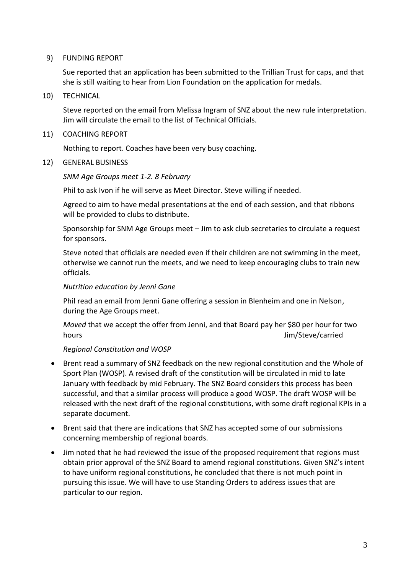#### 9) FUNDING REPORT

Sue reported that an application has been submitted to the Trillian Trust for caps, and that she is still waiting to hear from Lion Foundation on the application for medals.

10) TECHNICAL

Steve reported on the email from Melissa Ingram of SNZ about the new rule interpretation. Jim will circulate the email to the list of Technical Officials.

#### 11) COACHING REPORT

Nothing to report. Coaches have been very busy coaching.

12) GENERAL BUSINESS

#### *SNM Age Groups meet 1-2. 8 February*

Phil to ask Ivon if he will serve as Meet Director. Steve willing if needed.

Agreed to aim to have medal presentations at the end of each session, and that ribbons will be provided to clubs to distribute.

Sponsorship for SNM Age Groups meet – Jim to ask club secretaries to circulate a request for sponsors.

Steve noted that officials are needed even if their children are not swimming in the meet, otherwise we cannot run the meets, and we need to keep encouraging clubs to train new officials.

#### *Nutrition education by Jenni Gane*

Phil read an email from Jenni Gane offering a session in Blenheim and one in Nelson, during the Age Groups meet.

*Moved* that we accept the offer from Jenni, and that Board pay her \$80 per hour for two hours and the state of the state of the state of the state of the state of the state of the state of the state of the state of the state of the state of the state of the state of the state of the state of the state of the

# *Regional Constitution and WOSP*

- Brent read a summary of SNZ feedback on the new regional constitution and the Whole of Sport Plan (WOSP). A revised draft of the constitution will be circulated in mid to late January with feedback by mid February. The SNZ Board considers this process has been successful, and that a similar process will produce a good WOSP. The draft WOSP will be released with the next draft of the regional constitutions, with some draft regional KPIs in a separate document.
- Brent said that there are indications that SNZ has accepted some of our submissions concerning membership of regional boards.
- Jim noted that he had reviewed the issue of the proposed requirement that regions must obtain prior approval of the SNZ Board to amend regional constitutions. Given SNZ's intent to have uniform regional constitutions, he concluded that there is not much point in pursuing this issue. We will have to use Standing Orders to address issues that are particular to our region.